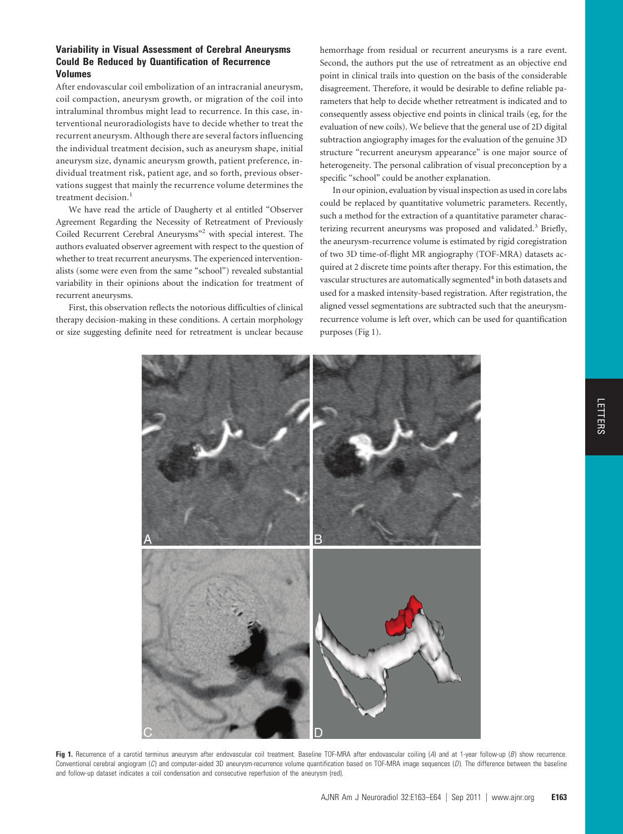## **Variability in Visual Assessment of Cerebral Aneurysms Could Be Reduced by Quantification of Recurrence Volumes**

After endovascular coil embolization of an intracranial aneurysm, coil compaction, aneurysm growth, or migration of the coil into intraluminal thrombus might lead to recurrence. In this case, interventional neuroradiologists have to decide whether to treat the recurrent aneurysm. Although there are several factors influencing the individual treatment decision, such as aneurysm shape, initial aneurysm size, dynamic aneurysm growth, patient preference, individual treatment risk, patient age, and so forth, previous observations suggest that mainly the recurrence volume determines the treatment decision.<sup>1</sup>

We have read the article of Daugherty et al entitled "Observer Agreement Regarding the Necessity of Retreatment of Previously Coiled Recurrent Cerebral Aneurysms"2 with special interest. The authors evaluated observer agreement with respect to the question of whether to treat recurrent aneurysms. The experienced interventionalists (some were even from the same "school") revealed substantial variability in their opinions about the indication for treatment of recurrent aneurysms.

First, this observation reflects the notorious difficulties of clinical therapy decision-making in these conditions. A certain morphology or size suggesting definite need for retreatment is unclear because

hemorrhage from residual or recurrent aneurysms is a rare event. Second, the authors put the use of retreatment as an objective end point in clinical trails into question on the basis of the considerable disagreement. Therefore, it would be desirable to define reliable parameters that help to decide whether retreatment is indicated and to consequently assess objective end points in clinical trails (eg, for the evaluation of new coils). We believe that the general use of 2D digital subtraction angiography images for the evaluation of the genuine 3D structure "recurrent aneurysm appearance" is one major source of heterogeneity. The personal calibration of visual preconception by a specific "school" could be another explanation.

In our opinion, evaluation by visual inspection as used in core labs could be replaced by quantitative volumetric parameters. Recently, such a method for the extraction of a quantitative parameter characterizing recurrent aneurysms was proposed and validated.<sup>3</sup> Briefly, the aneurysm-recurrence volume is estimated by rigid coregistration of two 3D time-of-flight MR angiography (TOF-MRA) datasets acquired at 2 discrete time points after therapy. For this estimation, the vascular structures are automatically segmented<sup>4</sup> in both datasets and used for a masked intensity-based registration. After registration, the aligned vessel segmentations are subtracted such that the aneurysmrecurrence volume is left over, which can be used for quantification purposes (Fig 1).



**Fig 1.** Recurrence of a carotid terminus aneurysm after endovascular coil treatment. Baseline TOF-MRA after endovascular coiling (*A*) and at 1-year follow-up (*B*) show recurrence. Conventional cerebral angiogram (*C*) and computer-aided 3D aneurysm-recurrence volume quantification based on TOF-MRA image sequences (*D*). The difference between the baseline and follow-up dataset indicates a coil condensation and consecutive reperfusion of the aneurysm (red).